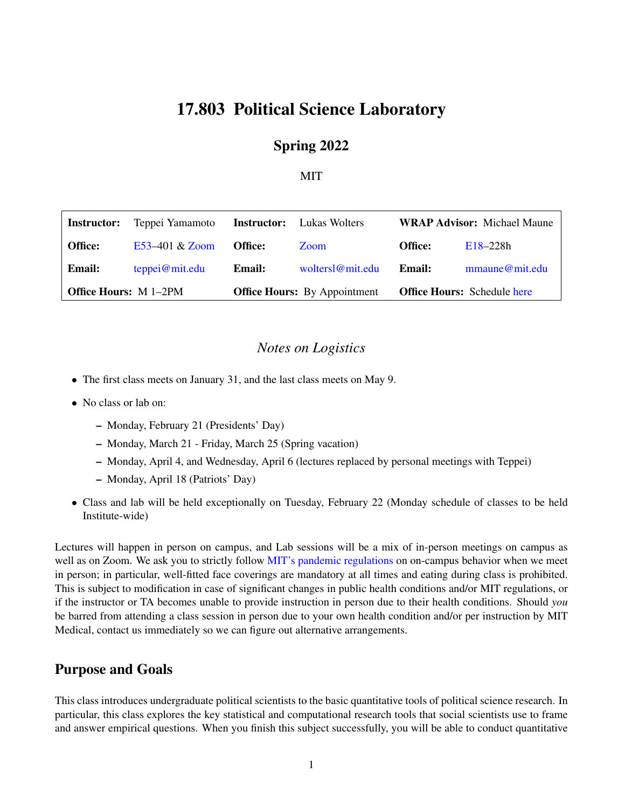# 17.803 Political Science Laboratory

#### Spring 2022

#### MIT

| <b>Office Hours:</b> M 1-2PM |                  | <b>Office Hours:</b> By Appointment |                                  | <b>Office Hours:</b> Schedule here |                                    |
|------------------------------|------------------|-------------------------------------|----------------------------------|------------------------------------|------------------------------------|
| <b>Email:</b>                | teppei@mit.edu   | Email:                              | woltersl@mit.edu                 | Email:                             | mmaune@mit.edu                     |
| <b>Office:</b>               | E53-401 $&$ Zoom | <b>Office:</b>                      | Zoom                             | <b>Office:</b>                     | $E18 - 228h$                       |
| Instructor:                  | Teppei Yamamoto  |                                     | <b>Instructor:</b> Lukas Wolters |                                    | <b>WRAP Advisor:</b> Michael Maune |

#### *Notes on Logistics*

- The first class meets on January 31, and the last class meets on May 9.
- No class or lab on:
	- Monday, February 21 (Presidents' Day)
	- Monday, March 21 Friday, March 25 (Spring vacation)
	- Monday, April 4, and Wednesday, April 6 (lectures replaced by personal meetings with Teppei)
	- Monday, April 18 (Patriots' Day)
- Class and lab will be held exceptionally on Tuesday, February 22 (Monday schedule of classes to be held Institute-wide)

Lectures will happen in person on campus, and Lab sessions will be a mix of in-person meetings on campus as well as on Zoom. We ask you to strictly follow [MIT's pandemic regulations](https://now.mit.edu/) on on-campus behavior when we meet in person; in particular, well-fitted face coverings are mandatory at all times and eating during class is prohibited. This is subject to modification in case of significant changes in public health conditions and/or MIT regulations, or if the instructor or TA becomes unable to provide instruction in person due to their health conditions. Should *you* be barred from attending a class session in person due to your own health condition and/or per instruction by MIT Medical, contact us immediately so we can figure out alternative arrangements.

### Purpose and Goals

This class introduces undergraduate political scientists to the basic quantitative tools of political science research. In particular, this class explores the key statistical and computational research tools that social scientists use to frame and answer empirical questions. When you finish this subject successfully, you will be able to conduct quantitative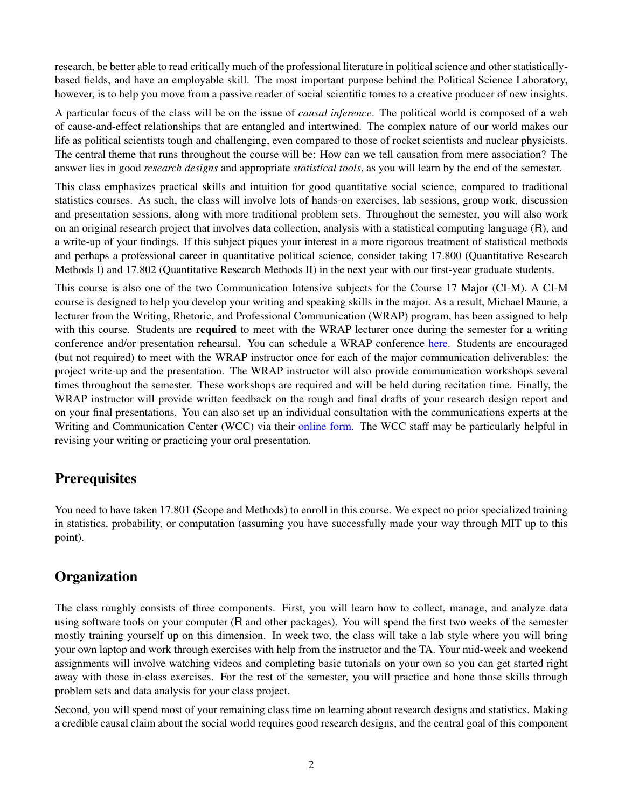research, be better able to read critically much of the professional literature in political science and other statisticallybased fields, and have an employable skill. The most important purpose behind the Political Science Laboratory, however, is to help you move from a passive reader of social scientific tomes to a creative producer of new insights.

A particular focus of the class will be on the issue of *causal inference*. The political world is composed of a web of cause-and-effect relationships that are entangled and intertwined. The complex nature of our world makes our life as political scientists tough and challenging, even compared to those of rocket scientists and nuclear physicists. The central theme that runs throughout the course will be: How can we tell causation from mere association? The answer lies in good *research designs* and appropriate *statistical tools*, as you will learn by the end of the semester.

This class emphasizes practical skills and intuition for good quantitative social science, compared to traditional statistics courses. As such, the class will involve lots of hands-on exercises, lab sessions, group work, discussion and presentation sessions, along with more traditional problem sets. Throughout the semester, you will also work on an original research project that involves data collection, analysis with a statistical computing language (R), and a write-up of your findings. If this subject piques your interest in a more rigorous treatment of statistical methods and perhaps a professional career in quantitative political science, consider taking 17.800 (Quantitative Research Methods I) and 17.802 (Quantitative Research Methods II) in the next year with our first-year graduate students.

This course is also one of the two Communication Intensive subjects for the Course 17 Major (CI-M). A CI-M course is designed to help you develop your writing and speaking skills in the major. As a result, Michael Maune, a lecturer from the Writing, Rhetoric, and Professional Communication (WRAP) program, has been assigned to help with this course. Students are **required** to meet with the WRAP lecturer once during the semester for a writing conference and/or presentation rehearsal. You can schedule a WRAP conference [here.](http://bit.ly/MauneMtg) Students are encouraged (but not required) to meet with the WRAP instructor once for each of the major communication deliverables: the project write-up and the presentation. The WRAP instructor will also provide communication workshops several times throughout the semester. These workshops are required and will be held during recitation time. Finally, the WRAP instructor will provide written feedback on the rough and final drafts of your research design report and on your final presentations. You can also set up an individual consultation with the communications experts at the Writing and Communication Center (WCC) via their [online form.](https://mit.mywconline.com/) The WCC staff may be particularly helpful in revising your writing or practicing your oral presentation.

# **Prerequisites**

You need to have taken 17.801 (Scope and Methods) to enroll in this course. We expect no prior specialized training in statistics, probability, or computation (assuming you have successfully made your way through MIT up to this point).

# **Organization**

The class roughly consists of three components. First, you will learn how to collect, manage, and analyze data using software tools on your computer (R and other packages). You will spend the first two weeks of the semester mostly training yourself up on this dimension. In week two, the class will take a lab style where you will bring your own laptop and work through exercises with help from the instructor and the TA. Your mid-week and weekend assignments will involve watching videos and completing basic tutorials on your own so you can get started right away with those in-class exercises. For the rest of the semester, you will practice and hone those skills through problem sets and data analysis for your class project.

Second, you will spend most of your remaining class time on learning about research designs and statistics. Making a credible causal claim about the social world requires good research designs, and the central goal of this component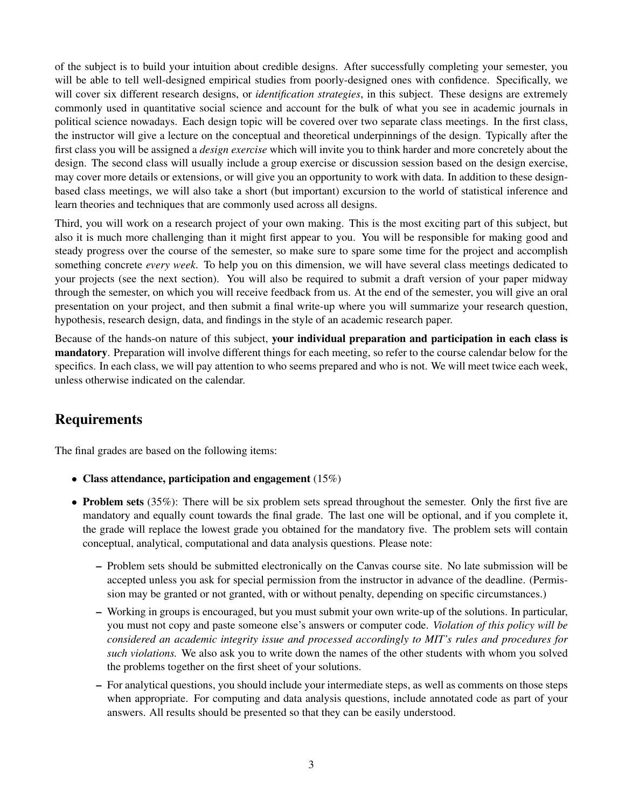of the subject is to build your intuition about credible designs. After successfully completing your semester, you will be able to tell well-designed empirical studies from poorly-designed ones with confidence. Specifically, we will cover six different research designs, or *identification strategies*, in this subject. These designs are extremely commonly used in quantitative social science and account for the bulk of what you see in academic journals in political science nowadays. Each design topic will be covered over two separate class meetings. In the first class, the instructor will give a lecture on the conceptual and theoretical underpinnings of the design. Typically after the first class you will be assigned a *design exercise* which will invite you to think harder and more concretely about the design. The second class will usually include a group exercise or discussion session based on the design exercise, may cover more details or extensions, or will give you an opportunity to work with data. In addition to these designbased class meetings, we will also take a short (but important) excursion to the world of statistical inference and learn theories and techniques that are commonly used across all designs.

Third, you will work on a research project of your own making. This is the most exciting part of this subject, but also it is much more challenging than it might first appear to you. You will be responsible for making good and steady progress over the course of the semester, so make sure to spare some time for the project and accomplish something concrete *every week*. To help you on this dimension, we will have several class meetings dedicated to your projects (see the next section). You will also be required to submit a draft version of your paper midway through the semester, on which you will receive feedback from us. At the end of the semester, you will give an oral presentation on your project, and then submit a final write-up where you will summarize your research question, hypothesis, research design, data, and findings in the style of an academic research paper.

Because of the hands-on nature of this subject, your individual preparation and participation in each class is mandatory. Preparation will involve different things for each meeting, so refer to the course calendar below for the specifics. In each class, we will pay attention to who seems prepared and who is not. We will meet twice each week, unless otherwise indicated on the calendar.

# Requirements

The final grades are based on the following items:

- Class attendance, participation and engagement (15%)
- Problem sets (35%): There will be six problem sets spread throughout the semester. Only the first five are mandatory and equally count towards the final grade. The last one will be optional, and if you complete it, the grade will replace the lowest grade you obtained for the mandatory five. The problem sets will contain conceptual, analytical, computational and data analysis questions. Please note:
	- Problem sets should be submitted electronically on the Canvas course site. No late submission will be accepted unless you ask for special permission from the instructor in advance of the deadline. (Permission may be granted or not granted, with or without penalty, depending on specific circumstances.)
	- Working in groups is encouraged, but you must submit your own write-up of the solutions. In particular, you must not copy and paste someone else's answers or computer code. *Violation of this policy will be considered an academic integrity issue and processed accordingly to MIT's rules and procedures for such violations.* We also ask you to write down the names of the other students with whom you solved the problems together on the first sheet of your solutions.
	- For analytical questions, you should include your intermediate steps, as well as comments on those steps when appropriate. For computing and data analysis questions, include annotated code as part of your answers. All results should be presented so that they can be easily understood.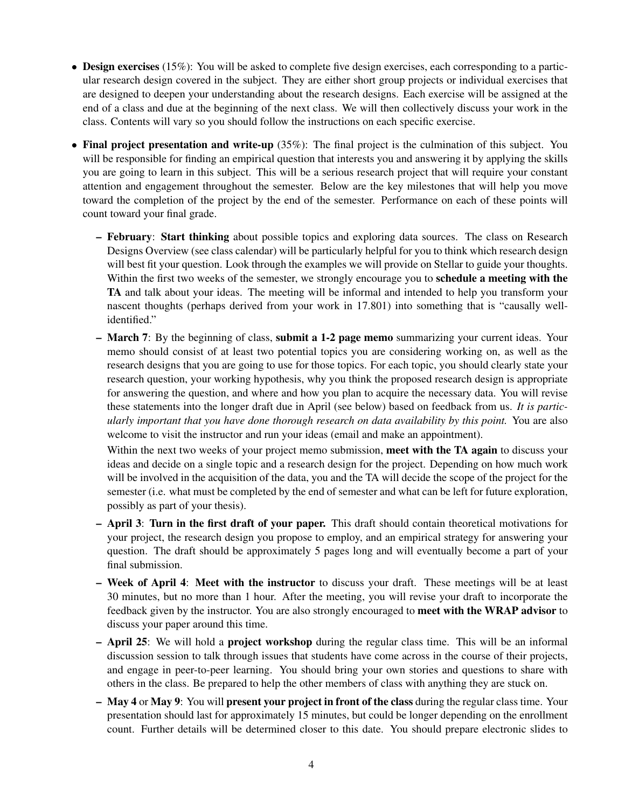- Design exercises (15%): You will be asked to complete five design exercises, each corresponding to a particular research design covered in the subject. They are either short group projects or individual exercises that are designed to deepen your understanding about the research designs. Each exercise will be assigned at the end of a class and due at the beginning of the next class. We will then collectively discuss your work in the class. Contents will vary so you should follow the instructions on each specific exercise.
- Final project presentation and write-up (35%): The final project is the culmination of this subject. You will be responsible for finding an empirical question that interests you and answering it by applying the skills you are going to learn in this subject. This will be a serious research project that will require your constant attention and engagement throughout the semester. Below are the key milestones that will help you move toward the completion of the project by the end of the semester. Performance on each of these points will count toward your final grade.
	- February: Start thinking about possible topics and exploring data sources. The class on Research Designs Overview (see class calendar) will be particularly helpful for you to think which research design will best fit your question. Look through the examples we will provide on Stellar to guide your thoughts. Within the first two weeks of the semester, we strongly encourage you to **schedule a meeting with the** TA and talk about your ideas. The meeting will be informal and intended to help you transform your nascent thoughts (perhaps derived from your work in 17.801) into something that is "causally wellidentified."
	- March 7: By the beginning of class, submit a 1-2 page memo summarizing your current ideas. Your memo should consist of at least two potential topics you are considering working on, as well as the research designs that you are going to use for those topics. For each topic, you should clearly state your research question, your working hypothesis, why you think the proposed research design is appropriate for answering the question, and where and how you plan to acquire the necessary data. You will revise these statements into the longer draft due in April (see below) based on feedback from us. *It is particularly important that you have done thorough research on data availability by this point.* You are also welcome to visit the instructor and run your ideas (email and make an appointment).

Within the next two weeks of your project memo submission, meet with the TA again to discuss your ideas and decide on a single topic and a research design for the project. Depending on how much work will be involved in the acquisition of the data, you and the TA will decide the scope of the project for the semester (i.e. what must be completed by the end of semester and what can be left for future exploration, possibly as part of your thesis).

- April 3: Turn in the first draft of your paper. This draft should contain theoretical motivations for your project, the research design you propose to employ, and an empirical strategy for answering your question. The draft should be approximately 5 pages long and will eventually become a part of your final submission.
- Week of April 4: Meet with the instructor to discuss your draft. These meetings will be at least 30 minutes, but no more than 1 hour. After the meeting, you will revise your draft to incorporate the feedback given by the instructor. You are also strongly encouraged to meet with the WRAP advisor to discuss your paper around this time.
- April 25: We will hold a project workshop during the regular class time. This will be an informal discussion session to talk through issues that students have come across in the course of their projects, and engage in peer-to-peer learning. You should bring your own stories and questions to share with others in the class. Be prepared to help the other members of class with anything they are stuck on.
- May 4 or May 9: You will present your project in front of the class during the regular class time. Your presentation should last for approximately 15 minutes, but could be longer depending on the enrollment count. Further details will be determined closer to this date. You should prepare electronic slides to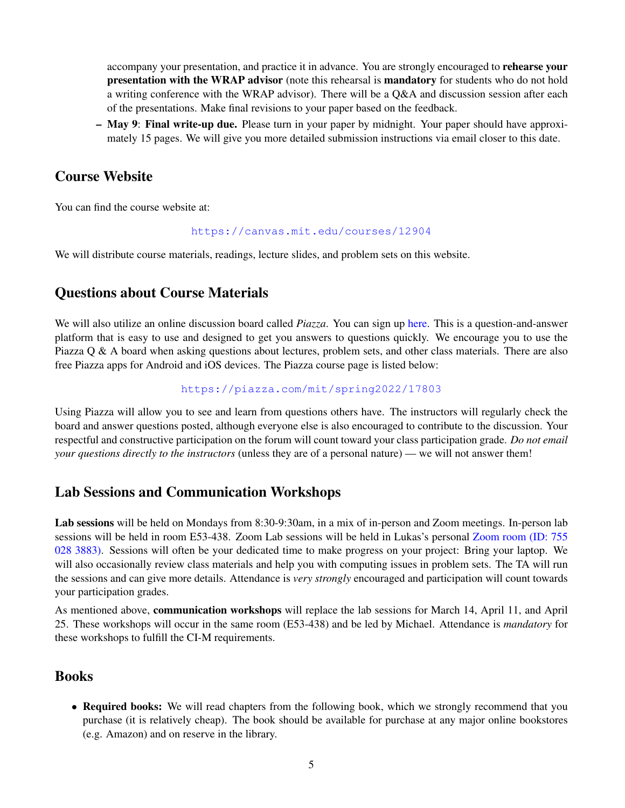accompany your presentation, and practice it in advance. You are strongly encouraged to **rehearse your** presentation with the WRAP advisor (note this rehearsal is mandatory for students who do not hold a writing conference with the WRAP advisor). There will be a Q&A and discussion session after each of the presentations. Make final revisions to your paper based on the feedback.

– May 9: Final write-up due. Please turn in your paper by midnight. Your paper should have approximately 15 pages. We will give you more detailed submission instructions via email closer to this date.

### Course Website

You can find the course website at:

#### <https://canvas.mit.edu/courses/12904>

We will distribute course materials, readings, lecture slides, and problem sets on this website.

## Questions about Course Materials

We will also utilize an online discussion board called *Piazza*. You can sign up [here.](https://piazza.com/mit/spring2022/17803) This is a question-and-answer platform that is easy to use and designed to get you answers to questions quickly. We encourage you to use the Piazza Q & A board when asking questions about lectures, problem sets, and other class materials. There are also free Piazza apps for Android and iOS devices. The Piazza course page is listed below:

#### <https://piazza.com/mit/spring2022/17803>

Using Piazza will allow you to see and learn from questions others have. The instructors will regularly check the board and answer questions posted, although everyone else is also encouraged to contribute to the discussion. Your respectful and constructive participation on the forum will count toward your class participation grade. *Do not email your questions directly to the instructors* (unless they are of a personal nature) — we will not answer them!

## Lab Sessions and Communication Workshops

Lab sessions will be held on Mondays from 8:30-9:30am, in a mix of in-person and Zoom meetings. In-person lab sessions will be held in room E53-438. Zoom Lab sessions will be held in Lukas's personal [Zoom room \(ID: 755](https://mit.zoom.us/j/7550283883) [028 3883\).](https://mit.zoom.us/j/7550283883) Sessions will often be your dedicated time to make progress on your project: Bring your laptop. We will also occasionally review class materials and help you with computing issues in problem sets. The TA will run the sessions and can give more details. Attendance is *very strongly* encouraged and participation will count towards your participation grades.

As mentioned above, communication workshops will replace the lab sessions for March 14, April 11, and April 25. These workshops will occur in the same room (E53-438) and be led by Michael. Attendance is *mandatory* for these workshops to fulfill the CI-M requirements.

### Books

• Required books: We will read chapters from the following book, which we strongly recommend that you purchase (it is relatively cheap). The book should be available for purchase at any major online bookstores (e.g. Amazon) and on reserve in the library.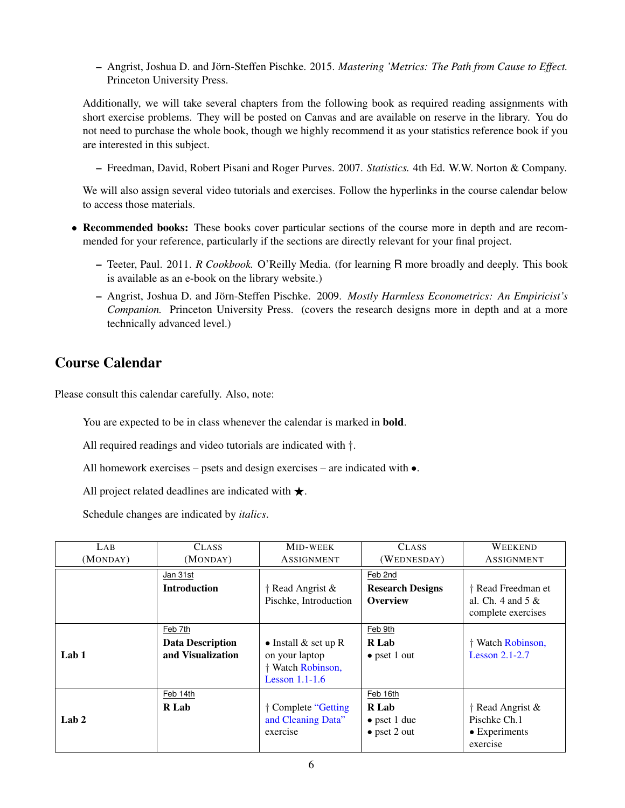– Angrist, Joshua D. and Jörn-Steffen Pischke. 2015. Mastering 'Metrics: The Path from Cause to Effect. Princeton University Press.

Additionally, we will take several chapters from the following book as required reading assignments with short exercise problems. They will be posted on Canvas and are available on reserve in the library. You do not need to purchase the whole book, though we highly recommend it as your statistics reference book if you are interested in this subject.

– Freedman, David, Robert Pisani and Roger Purves. 2007. *Statistics.* 4th Ed. W.W. Norton & Company.

We will also assign several video tutorials and exercises. Follow the hyperlinks in the course calendar below to access those materials.

- Recommended books: These books cover particular sections of the course more in depth and are recommended for your reference, particularly if the sections are directly relevant for your final project.
	- Teeter, Paul. 2011. *R Cookbook.* O'Reilly Media. (for learning R more broadly and deeply. This book is available as an e-book on the library website.)
	- Angrist, Joshua D. and Jorn-Steffen Pischke. 2009. ¨ *Mostly Harmless Econometrics: An Empiricist's Companion.* Princeton University Press. (covers the research designs more in depth and at a more technically advanced level.)

## Course Calendar

Please consult this calendar carefully. Also, note:

You are expected to be in class whenever the calendar is marked in bold.

All required readings and video tutorials are indicated with †.

All homework exercises – psets and design exercises – are indicated with •.

All project related deadlines are indicated with  $\star$ .

Schedule changes are indicated by *italics*.

| LAB              | <b>CLASS</b>            | <b>MID-WEEK</b>          | <b>CLASS</b>            | <b>WEEKEND</b>           |
|------------------|-------------------------|--------------------------|-------------------------|--------------------------|
| (MONDAY)         | (MONDAY)                | ASSIGNMENT               | (WEDNESDAY)             | ASSIGNMENT               |
|                  | Jan 31st                |                          | Feb 2nd                 |                          |
|                  | <b>Introduction</b>     | $\dagger$ Read Angrist & | <b>Research Designs</b> | † Read Freedman et       |
|                  |                         | Pischke, Introduction    | <b>Overview</b>         | al. Ch. $4$ and $5 \&$   |
|                  |                         |                          |                         | complete exercises       |
|                  | Feb 7th                 |                          | Feb 9th                 |                          |
|                  | <b>Data Description</b> | • Install $\&$ set up R  | R Lab                   | † Watch Robinson,        |
| Lab <sub>1</sub> | and Visualization       | on your laptop           | $\bullet$ pset 1 out    | Lesson $2.1 - 2.7$       |
|                  |                         | † Watch Robinson,        |                         |                          |
|                  |                         | Lesson $1.1-1.6$         |                         |                          |
|                  | Feb 14th                |                          | Feb 16th                |                          |
|                  | R Lab                   | † Complete "Getting      | R Lab                   | $\dagger$ Read Angrist & |
| Lab $2$          |                         | and Cleaning Data"       | $\bullet$ pset 1 due    | Pischke Ch.1             |
|                  |                         | exercise                 | $\bullet$ pset 2 out    | $\bullet$ Experiments    |
|                  |                         |                          |                         | exercise                 |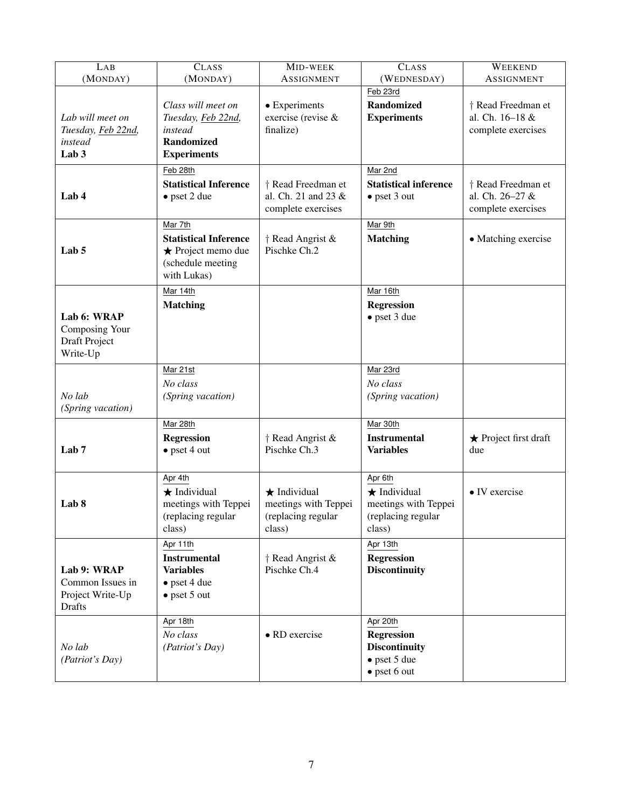| LAB                                                                   | CLASS                                                                                               | MID-WEEK                                                                   | CLASS                                                                                                 | WEEKEND                                                     |
|-----------------------------------------------------------------------|-----------------------------------------------------------------------------------------------------|----------------------------------------------------------------------------|-------------------------------------------------------------------------------------------------------|-------------------------------------------------------------|
| (MONDAY)                                                              | (MONDAY)                                                                                            | <b>ASSIGNMENT</b>                                                          | (WEDNESDAY)                                                                                           | <b>ASSIGNMENT</b>                                           |
| Lab will meet on<br>Tuesday, Feb 22nd,<br>instead<br>Lab <sub>3</sub> | Class will meet on<br>Tuesday, Feb 22nd,<br>instead<br><b>Randomized</b><br><b>Experiments</b>      | • Experiments<br>exercise (revise &<br>finalize)                           | Feb 23rd<br><b>Randomized</b><br><b>Experiments</b>                                                   | † Read Freedman et<br>al. Ch. 16-18 &<br>complete exercises |
| Lab 4                                                                 | Feb 28th<br><b>Statistical Inference</b><br>$\bullet$ pset 2 due                                    | † Read Freedman et<br>al. Ch. 21 and 23 &<br>complete exercises            | Mar 2nd<br><b>Statistical inference</b><br>$\bullet$ pset 3 out                                       | † Read Freedman et<br>al. Ch. 26-27 &<br>complete exercises |
| Lab <sub>5</sub>                                                      | Mar 7th<br><b>Statistical Inference</b><br>★ Project memo due<br>(schedule meeting<br>with Lukas)   | † Read Angrist &<br>Pischke Ch.2                                           | Mar 9th<br><b>Matching</b>                                                                            | • Matching exercise                                         |
| Lab 6: WRAP<br>Composing Your<br>Draft Project<br>Write-Up            | Mar 14th<br><b>Matching</b>                                                                         |                                                                            | Mar 16th<br><b>Regression</b><br>$\bullet$ pset 3 due                                                 |                                                             |
| No lab<br>(Spring vacation)                                           | Mar 21st<br>No class<br>(Spring vacation)                                                           |                                                                            | Mar 23rd<br>No class<br>(Spring vacation)                                                             |                                                             |
| Lab <sub>7</sub>                                                      | Mar 28th<br><b>Regression</b><br>$\bullet$ pset 4 out                                               | $\dagger$ Read Angrist &<br>Pischke Ch.3                                   | Mar 30th<br><b>Instrumental</b><br><b>Variables</b>                                                   | $\star$ Project first draft<br>due                          |
| Lab 8                                                                 | Apr 4th<br>$\star$ Individual<br>meetings with Teppei<br>(replacing regular<br>class)               | $\star$ Individual<br>meetings with Teppei<br>(replacing regular<br>class) | Apr 6th<br>$\star$ Individual<br>meetings with Teppei<br>(replacing regular<br>class)                 | $\bullet$ IV exercise                                       |
| Lab 9: WRAP<br>Common Issues in<br>Project Write-Up<br><b>Drafts</b>  | Apr 11th<br><b>Instrumental</b><br><b>Variables</b><br>$\bullet$ pset 4 due<br>$\bullet$ pset 5 out | $\dagger$ Read Angrist &<br>Pischke Ch.4                                   | Apr 13th<br><b>Regression</b><br><b>Discontinuity</b>                                                 |                                                             |
| No lab<br>(Patriot's Day)                                             | Apr 18th<br>No class<br>(Patriot's Day)                                                             | • RD exercise                                                              | Apr 20th<br><b>Regression</b><br><b>Discontinuity</b><br>$\bullet$ pset 5 due<br>$\bullet$ pset 6 out |                                                             |